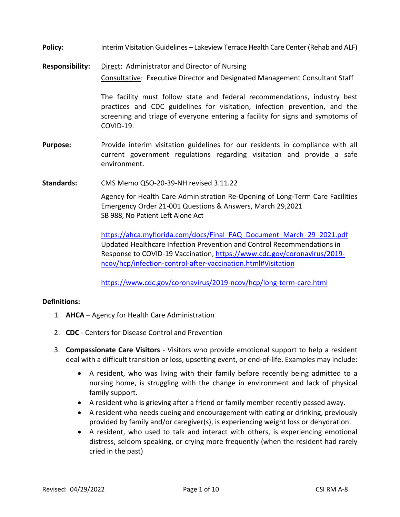- **Policy:** Interim Visitation Guidelines Lakeview Terrace Health Care Center (Rehab and ALF)
- **Responsibility:** Direct: Administrator and Director of Nursing Consultative: Executive Director and Designated Management Consultant Staff

The facility must follow state and federal recommendations, industry best practices and CDC guidelines for visitation, infection prevention, and the screening and triage of everyone entering a facility for signs and symptoms of COVID-19.

- **Purpose:** Provide interim visitation guidelines for our residents in compliance with all current government regulations regarding visitation and provide a safe environment.
- **Standards:** CMS Memo QSO-20-39-NH revised 3.11.22

Agency for Health Care Administration Re-Opening of Long-Term Care Facilities Emergency Order 21-001 Questions & Answers, March 29,2021 SB 988, No Patient Left Alone Act

[https://ahca.myflorida.com/docs/Final\\_FAQ\\_Document\\_March\\_29\\_2021.pdf](https://ahca.myflorida.com/docs/Final_FAQ_Document_March_29_2021.pdf) Updated Healthcare Infection Prevention and Control Recommendations in Response to COVID-19 Vaccination, [https://www.cdc.gov/coronavirus/2019](https://www.cdc.gov/coronavirus/2019-ncov/hcp/infection-control-after-vaccination.html#Visitation) [ncov/hcp/infection-control-after-vaccination.html#Visitation](https://www.cdc.gov/coronavirus/2019-ncov/hcp/infection-control-after-vaccination.html#Visitation)

<https://www.cdc.gov/coronavirus/2019-ncov/hcp/long-term-care.html>

### **Definitions:**

- 1. **AHCA** Agency for Health Care Administration
- 2. **CDC** Centers for Disease Control and Prevention
- 3. **Compassionate Care Visitors** Visitors who provide emotional support to help a resident deal with a difficult transition or loss, upsetting event, or end-of-life. Examples may include:
	- A resident, who was living with their family before recently being admitted to a nursing home, is struggling with the change in environment and lack of physical family support.
	- A resident who is grieving after a friend or family member recently passed away.
	- A resident who needs cueing and encouragement with eating or drinking, previously provided by family and/or caregiver(s), is experiencing weight loss or dehydration.
	- A resident, who used to talk and interact with others, is experiencing emotional distress, seldom speaking, or crying more frequently (when the resident had rarely cried in the past)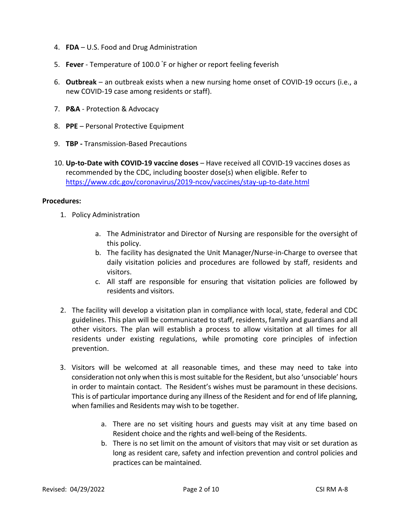- 4. **FDA** U.S. Food and Drug Administration
- 5. **Fever**  Temperature of 100.0 °F or higher or report feeling feverish
- 6. **Outbreak**  an outbreak exists when a new nursing home onset of COVID-19 occurs (i.e., a new COVID-19 case among residents or staff).
- 7. **P&A** Protection & Advocacy
- 8. **PPE** Personal Protective Equipment
- 9. **TBP** Transmission-Based Precautions
- 10. **Up-to-Date with COVID-19 vaccine doses** Have received all COVID-19 vaccines doses as recommended by the CDC, including booster dose(s) when eligible. Refer to <https://www.cdc.gov/coronavirus/2019-ncov/vaccines/stay-up-to-date.html>

## **Procedures:**

- 1. Policy Administration
	- a. The Administrator and Director of Nursing are responsible for the oversight of this policy.
	- b. The facility has designated the Unit Manager/Nurse-in-Charge to oversee that daily visitation policies and procedures are followed by staff, residents and visitors.
	- c. All staff are responsible for ensuring that visitation policies are followed by residents and visitors.
- 2. The facility will develop a visitation plan in compliance with local, state, federal and CDC guidelines. This plan will be communicated to staff, residents, family and guardians and all other visitors. The plan will establish a process to allow visitation at all times for all residents under existing regulations, while promoting core principles of infection prevention.
- 3. Visitors will be welcomed at all reasonable times, and these may need to take into consideration not only when this is most suitable for the Resident, but also 'unsociable' hours in order to maintain contact. The Resident's wishes must be paramount in these decisions. This is of particular importance during any illness of the Resident and for end of life planning, when families and Residents may wish to be together.
	- a. There are no set visiting hours and guests may visit at any time based on Resident choice and the rights and well-being of the Residents.
	- b. There is no set limit on the amount of visitors that may visit or set duration as long as resident care, safety and infection prevention and control policies and practices can be maintained.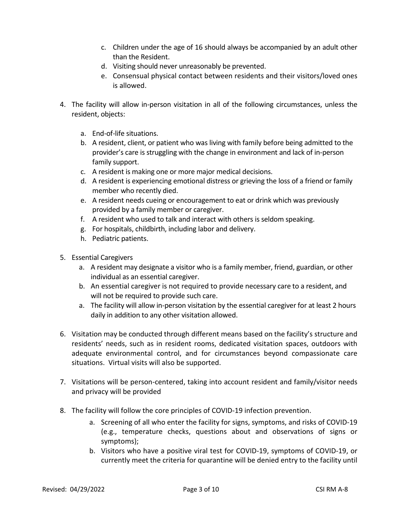- c. Children under the age of 16 should always be accompanied by an adult other than the Resident.
- d. Visiting should never unreasonably be prevented.
- e. Consensual physical contact between residents and their visitors/loved ones is allowed.
- 4. The facility will allow in-person visitation in all of the following circumstances, unless the resident, objects:
	- a. End-of-life situations.
	- b. A resident, client, or patient who was living with family before being admitted to the provider's care is struggling with the change in environment and lack of in-person family support.
	- c. A resident is making one or more major medical decisions.
	- d. A resident is experiencing emotional distress or grieving the loss of a friend or family member who recently died.
	- e. A resident needs cueing or encouragement to eat or drink which was previously provided by a family member or caregiver.
	- f. A resident who used to talk and interact with others is seldom speaking.
	- g. For hospitals, childbirth, including labor and delivery.
	- h. Pediatric patients.
- 5. Essential Caregivers
	- a. A resident may designate a visitor who is a family member, friend, guardian, or other individual as an essential caregiver.
	- b. An essential caregiver is not required to provide necessary care to a resident, and will not be required to provide such care.
	- a. The facility will allow in-person visitation by the essential caregiver for at least 2 hours daily in addition to any other visitation allowed.
- 6. Visitation may be conducted through different means based on the facility's structure and residents' needs, such as in resident rooms, dedicated visitation spaces, outdoors with adequate environmental control, and for circumstances beyond compassionate care situations. Virtual visits will also be supported.
- 7. Visitations will be person-centered, taking into account resident and family/visitor needs and privacy will be provided
- 8. The facility will follow the core principles of COVID-19 infection prevention.
	- a. Screening of all who enter the facility for signs, symptoms, and risks of COVID-19 (e.g., temperature checks, questions about and observations of signs or symptoms);
	- b. Visitors who have a positive viral test for COVID-19, symptoms of COVID-19, or currently meet the criteria for quarantine will be denied entry to the facility until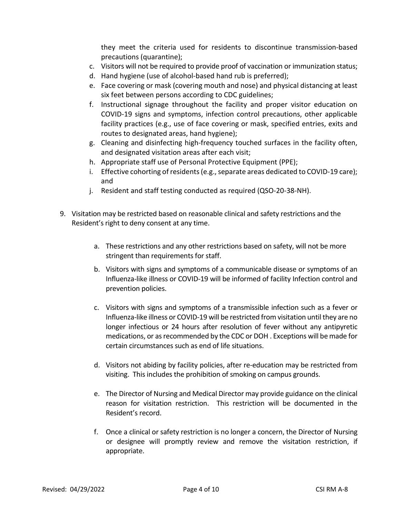they meet the criteria used for residents to discontinue transmission-based precautions (quarantine);

- c. Visitors will not be required to provide proof of vaccination or immunization status;
- d. Hand hygiene (use of alcohol-based hand rub is preferred);
- e. Face covering or mask (covering mouth and nose) and physical distancing at least six feet between persons according to CDC guidelines;
- f. Instructional signage throughout the facility and proper visitor education on COVID-19 signs and symptoms, infection control precautions, other applicable facility practices (e.g., use of face covering or mask, specified entries, exits and routes to designated areas, hand hygiene);
- g. Cleaning and disinfecting high-frequency touched surfaces in the facility often, and designated visitation areas after each visit;
- h. Appropriate staff use of Personal Protective Equipment (PPE);
- i. Effective cohorting of residents (e.g., separate areas dedicated to COVID-19 care); and
- j. Resident and staff testing conducted as required (QSO-20-38-NH).
- 9. Visitation may be restricted based on reasonable clinical and safety restrictions and the Resident's right to deny consent at any time.
	- a. These restrictions and any other restrictions based on safety, will not be more stringent than requirements for staff.
	- b. Visitors with signs and symptoms of a communicable disease or symptoms of an Influenza-like illness or COVID-19 will be informed of facility Infection control and prevention policies.
	- c. Visitors with signs and symptoms of a transmissible infection such as a fever or Influenza-like illness or COVID-19 will be restricted from visitation until they are no longer infectious or 24 hours after resolution of fever without any antipyretic medications, or as recommended by the CDC or DOH . Exceptions will be made for certain circumstances such as end of life situations.
	- d. Visitors not abiding by facility policies, after re-education may be restricted from visiting. This includes the prohibition of smoking on campus grounds.
	- e. The Director of Nursing and Medical Director may provide guidance on the clinical reason for visitation restriction. This restriction will be documented in the Resident's record.
	- f. Once a clinical or safety restriction is no longer a concern, the Director of Nursing or designee will promptly review and remove the visitation restriction, if appropriate.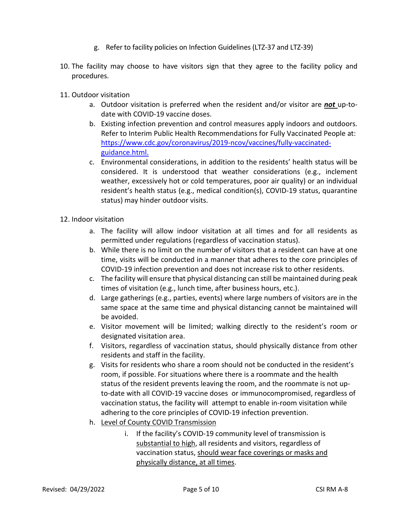- g. Refer to facility policies on Infection Guidelines (LTZ-37 and LTZ-39)
- 10. The facility may choose to have visitors sign that they agree to the facility policy and procedures.
- 11. Outdoor visitation
	- a. Outdoor visitation is preferred when the resident and/or visitor are *not* up-todate with COVID-19 vaccine doses.
	- b. Existing infection prevention and control measures apply indoors and outdoors. Refer to Interim Public Health Recommendations for Fully Vaccinated People at: [https://www.cdc.gov/coronavirus/2019-ncov/vaccines/fully-vaccinated](https://www.cdc.gov/coronavirus/2019-ncov/vaccines/fully-vaccinated-guidance.html)[guidance.html.](https://www.cdc.gov/coronavirus/2019-ncov/vaccines/fully-vaccinated-guidance.html)
	- c. Environmental considerations, in addition to the residents' health status will be considered. It is understood that weather considerations (e.g., inclement weather, excessively hot or cold temperatures, poor air quality) or an individual resident's health status (e.g., medical condition(s), COVID-19 status, quarantine status) may hinder outdoor visits.
- 12. Indoor visitation
	- a. The facility will allow indoor visitation at all times and for all residents as permitted under regulations (regardless of vaccination status).
	- b. While there is no limit on the number of visitors that a resident can have at one time, visits will be conducted in a manner that adheres to the core principles of COVID-19 infection prevention and does not increase risk to other residents.
	- c. The facility will ensure that physical distancing can still be maintained during peak times of visitation (e.g., lunch time, after business hours, etc.).
	- d. Large gatherings (e.g., parties, events) where large numbers of visitors are in the same space at the same time and physical distancing cannot be maintained will be avoided.
	- e. Visitor movement will be limited; walking directly to the resident's room or designated visitation area.
	- f. Visitors, regardless of vaccination status, should physically distance from other residents and staff in the facility.
	- g. Visits for residents who share a room should not be conducted in the resident's room, if possible. For situations where there is a roommate and the health status of the resident prevents leaving the room, and the roommate is not upto-date with all COVID-19 vaccine doses or immunocompromised, regardless of vaccination status, the facility will attempt to enable in-room visitation while adhering to the core principles of COVID-19 infection prevention.
	- h. Level of County COVID Transmission
		- i. If the facility's COVID-19 community level of transmission is substantial to high, all residents and visitors, regardless of vaccination status, should wear face coverings or masks and physically distance, at all times.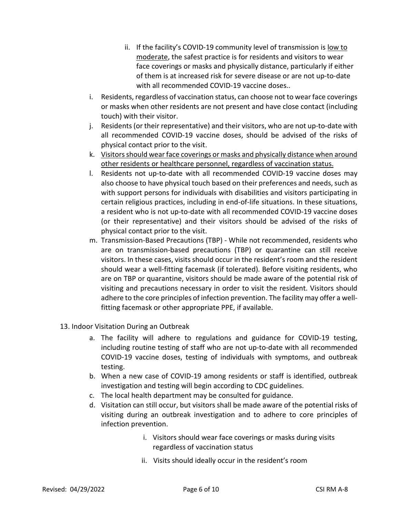- ii. If the facility's COVID-19 community level of transmission is low to moderate, the safest practice is for residents and visitors to wear face coverings or masks and physically distance, particularly if either of them is at increased risk for severe disease or are not up-to-date with all recommended COVID-19 vaccine doses..
- i. Residents, regardless of vaccination status, can choose not to wear face coverings or masks when other residents are not present and have close contact (including touch) with their visitor.
- j. Residents (or their representative) and their visitors, who are not up-to-date with all recommended COVID-19 vaccine doses, should be advised of the risks of physical contact prior to the visit.
- k. Visitors should wear face coverings or masks and physically distance when around other residents or healthcare personnel, regardless of vaccination status.
- l. Residents not up-to-date with all recommended COVID-19 vaccine doses may also choose to have physical touch based on their preferences and needs, such as with support persons for individuals with disabilities and visitors participating in certain religious practices, including in end-of-life situations. In these situations, a resident who is not up-to-date with all recommended COVID-19 vaccine doses (or their representative) and their visitors should be advised of the risks of physical contact prior to the visit.
- m. Transmission-Based Precautions (TBP) While not recommended, residents who are on transmission-based precautions (TBP) or quarantine can still receive visitors. In these cases, visits should occur in the resident's room and the resident should wear a well-fitting facemask (if tolerated). Before visiting residents, who are on TBP or quarantine, visitors should be made aware of the potential risk of visiting and precautions necessary in order to visit the resident. Visitors should adhere to the core principles of infection prevention. The facility may offer a wellfitting facemask or other appropriate PPE, if available.
- 13. Indoor Visitation During an Outbreak
	- a. The facility will adhere to regulations and guidance for COVID-19 testing, including routine testing of staff who are not up-to-date with all recommended COVID-19 vaccine doses, testing of individuals with symptoms, and outbreak testing.
	- b. When a new case of COVID-19 among residents or staff is identified, outbreak investigation and testing will begin according to CDC guidelines.
	- c. The local health department may be consulted for guidance.
	- d. Visitation can still occur, but visitors shall be made aware of the potential risks of visiting during an outbreak investigation and to adhere to core principles of infection prevention.
		- i. Visitors should wear face coverings or masks during visits regardless of vaccination status
		- ii. Visits should ideally occur in the resident's room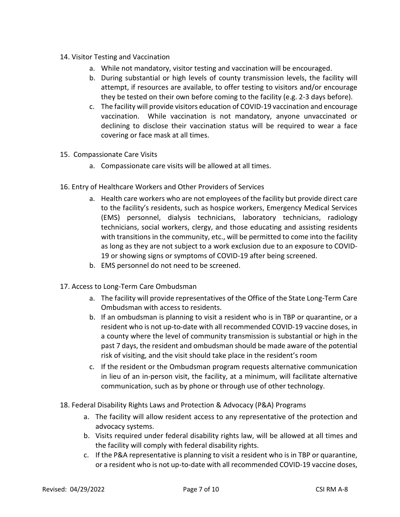- 14. Visitor Testing and Vaccination
	- a. While not mandatory, visitor testing and vaccination will be encouraged.
	- b. During substantial or high levels of county transmission levels, the facility will attempt, if resources are available, to offer testing to visitors and/or encourage they be tested on their own before coming to the facility (e.g. 2-3 days before).
	- c. The facility will provide visitors education of COVID-19 vaccination and encourage vaccination. While vaccination is not mandatory, anyone unvaccinated or declining to disclose their vaccination status will be required to wear a face covering or face mask at all times.
- 15. Compassionate Care Visits
	- a. Compassionate care visits will be allowed at all times.
- 16. Entry of Healthcare Workers and Other Providers of Services
	- a. Health care workers who are not employees of the facility but provide direct care to the facility's residents, such as hospice workers, Emergency Medical Services (EMS) personnel, dialysis technicians, laboratory technicians, radiology technicians, social workers, clergy, and those educating and assisting residents with transitions in the community, etc., will be permitted to come into the facility as long as they are not subject to a work exclusion due to an exposure to COVID-19 or showing signs or symptoms of COVID-19 after being screened.
	- b. EMS personnel do not need to be screened.
- 17. Access to Long-Term Care Ombudsman
	- a. The facility will provide representatives of the Office of the State Long-Term Care Ombudsman with access to residents.
	- b. If an ombudsman is planning to visit a resident who is in TBP or quarantine, or a resident who is not up-to-date with all recommended COVID-19 vaccine doses, in a county where the level of community transmission is substantial or high in the past 7 days, the resident and ombudsman should be made aware of the potential risk of visiting, and the visit should take place in the resident's room
	- c. If the resident or the Ombudsman program requests alternative communication in lieu of an in-person visit, the facility, at a minimum, will facilitate alternative communication, such as by phone or through use of other technology.
- 18. Federal Disability Rights Laws and Protection & Advocacy (P&A) Programs
	- a. The facility will allow resident access to any representative of the protection and advocacy systems.
	- b. Visits required under federal disability rights law, will be allowed at all times and the facility will comply with federal disability rights.
	- c. If the P&A representative is planning to visit a resident who is in TBP or quarantine, or a resident who is not up-to-date with all recommended COVID-19 vaccine doses,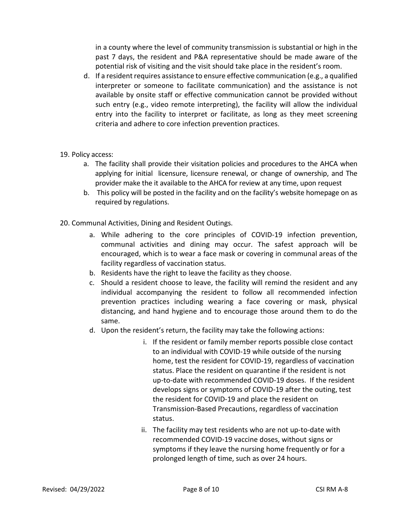in a county where the level of community transmission is substantial or high in the past 7 days, the resident and P&A representative should be made aware of the potential risk of visiting and the visit should take place in the resident's room.

- d. If a resident requires assistance to ensure effective communication (e.g., a qualified interpreter or someone to facilitate communication) and the assistance is not available by onsite staff or effective communication cannot be provided without such entry (e.g., video remote interpreting), the facility will allow the individual entry into the facility to interpret or facilitate, as long as they meet screening criteria and adhere to core infection prevention practices.
- 19. Policy access:
	- a. The facility shall provide their visitation policies and procedures to the AHCA when applying for initial licensure, licensure renewal, or change of ownership, and The provider make the it available to the AHCA for review at any time, upon request
	- b. This policy will be posted in the facility and on the facility's website homepage on as required by regulations.
- 20. Communal Activities, Dining and Resident Outings.
	- a. While adhering to the core principles of COVID-19 infection prevention, communal activities and dining may occur. The safest approach will be encouraged, which is to wear a face mask or covering in communal areas of the facility regardless of vaccination status.
	- b. Residents have the right to leave the facility as they choose.
	- c. Should a resident choose to leave, the facility will remind the resident and any individual accompanying the resident to follow all recommended infection prevention practices including wearing a face covering or mask, physical distancing, and hand hygiene and to encourage those around them to do the same.
	- d. Upon the resident's return, the facility may take the following actions:
		- i. If the resident or family member reports possible close contact to an individual with COVID-19 while outside of the nursing home, test the resident for COVID-19, regardless of vaccination status. Place the resident on quarantine if the resident is not up-to-date with recommended COVID-19 doses. If the resident develops signs or symptoms of COVID-19 after the outing, test the resident for COVID-19 and place the resident on Transmission-Based Precautions, regardless of vaccination status.
		- ii. The facility may test residents who are not up-to-date with recommended COVID-19 vaccine doses, without signs or symptoms if they leave the nursing home frequently or for a prolonged length of time, such as over 24 hours.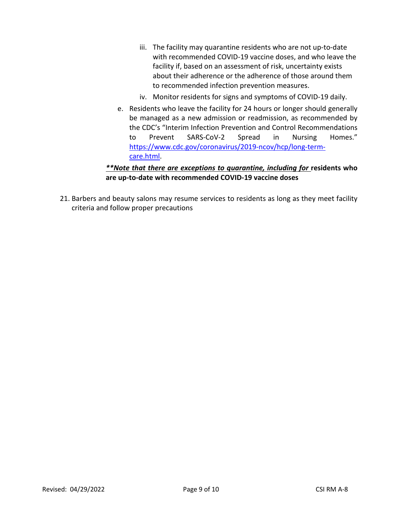- iii. The facility may quarantine residents who are not up-to-date with recommended COVID-19 vaccine doses, and who leave the facility if, based on an assessment of risk, uncertainty exists about their adherence or the adherence of those around them to recommended infection prevention measures.
- iv. Monitor residents for signs and symptoms of COVID-19 daily.
- e. Residents who leave the facility for 24 hours or longer should generally be managed as a new admission or readmission, as recommended by the CDC's "Interim Infection Prevention and Control Recommendations to Prevent SARS-CoV-2 Spread in Nursing Homes." [https://www.cdc.gov/coronavirus/2019-ncov/hcp/long-term](https://www.cdc.gov/coronavirus/2019-ncov/hcp/long-term-care.html)[care.html.](https://www.cdc.gov/coronavirus/2019-ncov/hcp/long-term-care.html)

# *\*\*Note that there are exceptions to quarantine, including for* **residents who are up-to-date with recommended COVID-19 vaccine doses**

21. Barbers and beauty salons may resume services to residents as long as they meet facility criteria and follow proper precautions